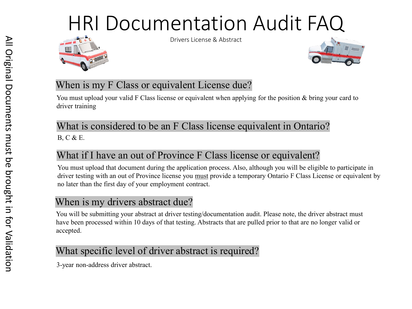

Drivers License & Abstract



#### When is my F Class or equivalent License due?

You must upload your valid F Class license or equivalent when applying for the position & bring your card to driver training

#### What is considered to be an F Class license equivalent in Ontario? B, C & E.

## What if I have an out of Province F Class license or equivalent?

You must upload that document during the application process. Also, although you will be eligible to participate in driver testing with an out of Province license you must provide a temporary Ontario F Class License or equivalent by no later than the first day of your employment contract.

## When is my drivers abstract due?

You will be submitting your abstract at driver testing/documentation audit. Please note, the driver abstract must have been processed within 10 days of that testing. Abstracts that are pulled prior to that are no longer valid or accepted.

## What specific level of driver abstract is required?

3-year non-address driver abstract.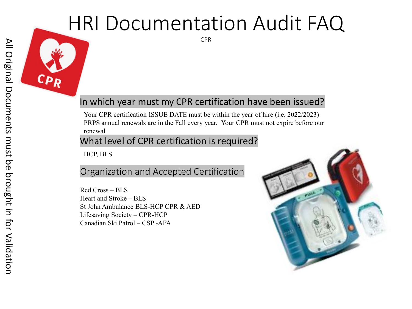CPR

#### In which year must my CPR certification have been issued?

Your CPR certification ISSUE DATE must be within the year of hire (i.e. 2022/2023) PRPS annual renewals are in the Fall every year. Your CPR must not expire before our renewal

#### What level of CPR certification is required?

HCP, BLS

#### Organization and Accepted Certification

Red Cross – BLS Heart and Stroke – BLS St John Ambulance BLS-HCP CPR & AED Lifesaving Society – CPR-HCP Canadian Ski Patrol – CSP -AFA

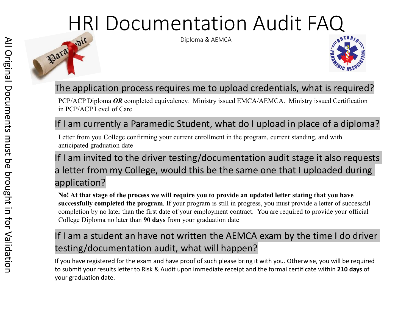

Diploma & AEMCA



### The application process requires me to upload credentials, what is required?

PCP/ACP Diploma *OR* completed equivalency. Ministry issued EMCA/AEMCA. Ministry issued Certification in PCP/ACP Level of Care

#### If I am currently a Paramedic Student, what do I upload in place of a diploma?

Letter from you College confirming your current enrollment in the program, current standing, and with anticipated graduation date

## If I am invited to the driver testing/documentation audit stage it also requests a letter from my College, would this be the same one that I uploaded during application?

**No! At that stage of the process we will require you to provide an updated letter stating that you have successfully completed the program**. If your program is still in progress, you must provide a letter of successful completion by no later than the first date of your employment contract. You are required to provide your official College Diploma no later than **90 days** from your graduation date

### If I am a student an have not written the AEMCA exam by the time I do driver testing/documentation audit, what will happen?

If you have registered for the exam and have proof of such please bring it with you. Otherwise, you will be required to submit your results letter to Risk & Audit upon immediate receipt and the formal certificate within **210 days** of your graduation date.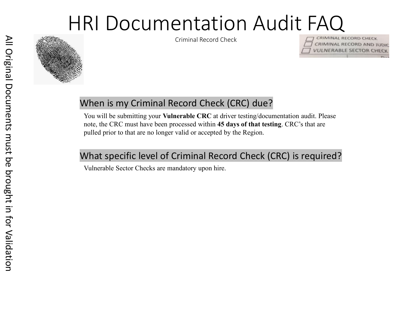

Criminal Record Check



#### When is my Criminal Record Check (CRC) due?

You will be submitting your **Vulnerable CRC** at driver testing/documentation audit. Please note, the CRC must have been processed within **45 days of that testing**. CRC's that are pulled prior to that are no longer valid or accepted by the Region.

#### What specific level of Criminal Record Check (CRC) is required?

Vulnerable Sector Checks are mandatory upon hire.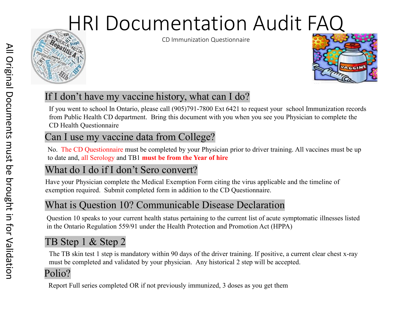



### If I don't have my vaccine history, what can I do?

If you went to school In Ontario, please call (905)791-7800 Ext 6421 to request your school Immunization records from Public Health CD department. Bring this document with you when you see you Physician to complete the CD Health Questionnaire

#### Can I use my vaccine data from College?

No. The CD Questionnaire must be completed by your Physician prior to driver training. All vaccines must be up to date and, all Serology and TB1 **must be from the Year of hire**

#### What do I do if I don't Sero convert?

Have your Physician complete the Medical Exemption Form citing the virus applicable and the timeline of exemption required. Submit completed form in addition to the CD Questionnaire.

#### What is Question 10? Communicable Disease Declaration

Question 10 speaks to your current health status pertaining to the current list of acute symptomatic illnesses listed in the Ontario Regulation 559/91 under the Health Protection and Promotion Act (HPPA)

## TB Step 1 & Step 2

The TB skin test 1 step is mandatory within 90 days of the driver training. If positive, a current clear chest x-ray must be completed and validated by your physician. Any historical 2 step will be accepted.

#### Polio?

Report Full series completed OR if not previously immunized, 3 doses as you get them